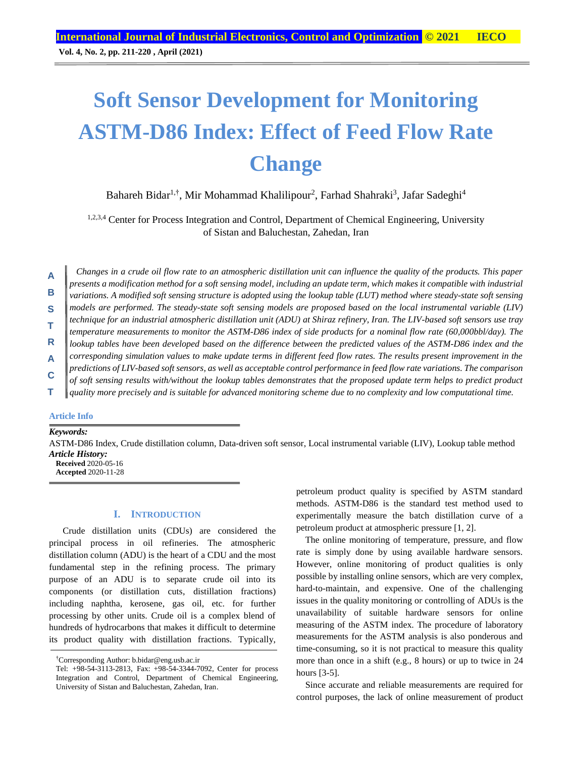**Vol. 4, No. 2, pp. 211-220 , April (2021)**

# **Soft Sensor Development for Monitoring ASTM-D86 Index: Effect of Feed Flow Rate Change**

Bahareh Bidar<sup>1,†</sup>, Mir Mohammad Khalilipour<sup>2</sup>, Farhad Shahraki<sup>3</sup>, Jafar Sadeghi<sup>4</sup>

<sup>1,2,3,4</sup> Center for Process Integration and Control, Department of Chemical Engineering, University of Sistan and Baluchestan, Zahedan, Iran

*Changes in a crude oil flow rate to an atmospheric distillation unit can influence the quality of the products. This paper presents a modification method for a soft sensing model, including an update term, which makes it compatible with industrial variations. A modified soft sensing structure is adopted using the lookup table (LUT) method where steady-state soft sensing models are performed. The steady-state soft sensing models are proposed based on the local instrumental variable (LIV) technique for an industrial atmospheric distillation unit (ADU) at Shiraz refinery, Iran. The LIV-based soft sensors use tray temperature measurements to monitor the ASTM-D86 index of side products for a nominal flow rate (60,000bbl/day). The lookup tables have been developed based on the difference between the predicted values of the ASTM-D86 index and the corresponding simulation values to make update terms in different feed flow rates. The results present improvement in the predictions of LIV-based soft sensors, as well as acceptable control performance in feed flow rate variations. The comparison of soft sensing results with/without the lookup tables demonstrates that the proposed update term helps to predict product quality more precisely and is suitable for advanced monitoring scheme due to no complexity and low computational time.* **A B S T R A C T**

#### **Article Info**

*Keywords:* ASTM-D86 Index, Crude distillation column, Data-driven soft sensor, Local instrumental variable (LIV), Lookup table method *Article History:* **Received** 2020-05-16 **Accepted** 2020-11-28

# **I. INTRODUCTION**

Crude distillation units (CDUs) are considered the principal process in oil refineries. The atmospheric distillation column (ADU) is the heart of a CDU and the most fundamental step in the refining process. The primary purpose of an ADU is to separate crude oil into its components (or distillation cuts, distillation fractions) including naphtha, kerosene, gas oil, etc. for further processing by other units. Crude oil is a complex blend of hundreds of hydrocarbons that makes it difficult to determine its product quality with distillation fractions. Typically, petroleum product quality is specified by ASTM standard methods. ASTM-D86 is the standard test method used to experimentally measure the batch distillation curve of a petroleum product at atmospheric pressure [1, 2].

The online monitoring of temperature, pressure, and flow rate is simply done by using available hardware sensors. However, online monitoring of product qualities is only possible by installing online sensors, which are very complex, hard-to-maintain, and expensive. One of the challenging issues in the quality monitoring or controlling of ADUs is the unavailability of suitable hardware sensors for online measuring of the ASTM index. The procedure of laboratory measurements for the ASTM analysis is also ponderous and time-consuming, so it is not practical to measure this quality more than once in a shift (e.g., 8 hours) or up to twice in 24 hours [3-5].

Since accurate and reliable measurements are required for control purposes, the lack of online measurement of product

<sup>†</sup>Corresponding Author: b.bidar@eng.usb.ac.ir

Tel: +98-54-3113-2813, Fax: +98-54-3344-7092, Center for process Integration and Control, Department of Chemical Engineering, University of Sistan and Baluchestan, Zahedan, Iran.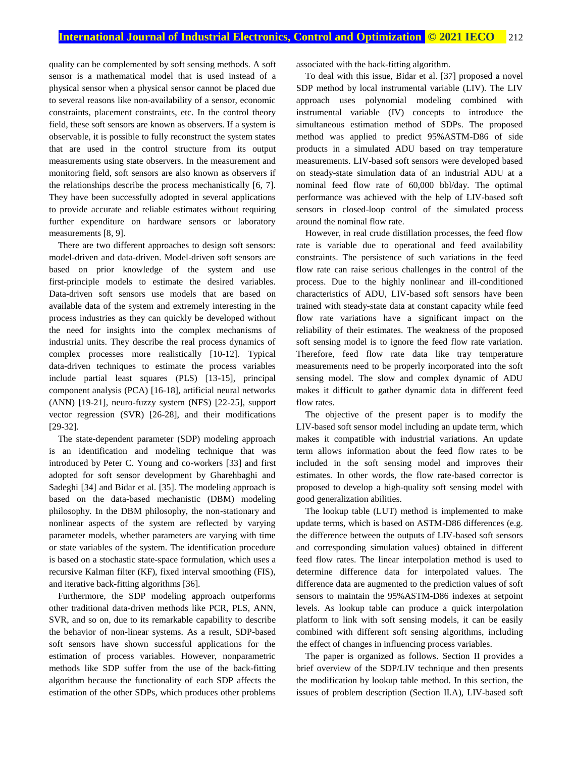quality can be complemented by soft sensing methods. A soft sensor is a mathematical model that is used instead of a physical sensor when a physical sensor cannot be placed due to several reasons like non-availability of a sensor, economic constraints, placement constraints, etc. In the control theory field, these soft sensors are known as observers. If a system is observable, it is possible to fully reconstruct the system states that are used in the control structure from its output measurements using state observers. In the measurement and monitoring field, soft sensors are also known as observers if the relationships describe the process mechanistically [6, 7]. They have been successfully adopted in several applications to provide accurate and reliable estimates without requiring further expenditure on hardware sensors or laboratory measurements [8, 9].

There are two different approaches to design soft sensors: model-driven and data-driven. Model-driven soft sensors are based on prior knowledge of the system and use first-principle models to estimate the desired variables. Data-driven soft sensors use models that are based on available data of the system and extremely interesting in the process industries as they can quickly be developed without the need for insights into the complex mechanisms of industrial units. They describe the real process dynamics of complex processes more realistically [10-12]. Typical data-driven techniques to estimate the process variables include partial least squares (PLS) [13-15], principal component analysis (PCA) [16-18], artificial neural networks (ANN) [19-21], neuro-fuzzy system (NFS) [22-25], support vector regression (SVR) [26-28], and their modifications [29-32].

The state-dependent parameter (SDP) modeling approach is an identification and modeling technique that was introduced by Peter C. Young and co-workers [33] and first adopted for soft sensor development by Gharehbaghi and Sadeghi [34] and Bidar et al. [35]. The modeling approach is based on the data-based mechanistic (DBM) modeling philosophy. In the DBM philosophy, the non-stationary and nonlinear aspects of the system are reflected by varying parameter models, whether parameters are varying with time or state variables of the system. The identification procedure is based on a stochastic state-space formulation, which uses a recursive Kalman filter (KF), fixed interval smoothing (FIS), and iterative back-fitting algorithms [36].

Furthermore, the SDP modeling approach outperforms other traditional data-driven methods like PCR, PLS, ANN, SVR, and so on, due to its remarkable capability to describe the behavior of non-linear systems. As a result, SDP-based soft sensors have shown successful applications for the estimation of process variables. However, nonparametric methods like SDP suffer from the use of the back-fitting algorithm because the functionality of each SDP affects the estimation of the other SDPs, which produces other problems associated with the back-fitting algorithm.

To deal with this issue, Bidar et al. [37] proposed a novel SDP method by local instrumental variable (LIV). The LIV approach uses polynomial modeling combined with instrumental variable (IV) concepts to introduce the simultaneous estimation method of SDPs. The proposed method was applied to predict 95%ASTM-D86 of side products in a simulated ADU based on tray temperature measurements. LIV-based soft sensors were developed based on steady-state simulation data of an industrial ADU at a nominal feed flow rate of 60,000 bbl/day. The optimal performance was achieved with the help of LIV-based soft sensors in closed-loop control of the simulated process around the nominal flow rate.

However, in real crude distillation processes, the feed flow rate is variable due to operational and feed availability constraints. The persistence of such variations in the feed flow rate can raise serious challenges in the control of the process. Due to the highly nonlinear and ill-conditioned characteristics of ADU, LIV-based soft sensors have been trained with steady-state data at constant capacity while feed flow rate variations have a significant impact on the reliability of their estimates. The weakness of the proposed soft sensing model is to ignore the feed flow rate variation. Therefore, feed flow rate data like tray temperature measurements need to be properly incorporated into the soft sensing model. The slow and complex dynamic of ADU makes it difficult to gather dynamic data in different feed flow rates.

The objective of the present paper is to modify the LIV-based soft sensor model including an update term, which makes it compatible with industrial variations. An update term allows information about the feed flow rates to be included in the soft sensing model and improves their estimates. In other words, the flow rate-based corrector is proposed to develop a high-quality soft sensing model with good generalization abilities.

The lookup table (LUT) method is implemented to make update terms, which is based on ASTM-D86 differences (e.g. the difference between the outputs of LIV-based soft sensors and corresponding simulation values) obtained in different feed flow rates. The linear interpolation method is used to determine difference data for interpolated values. The difference data are augmented to the prediction values of soft sensors to maintain the 95%ASTM-D86 indexes at setpoint levels. As lookup table can produce a quick interpolation platform to link with soft sensing models, it can be easily combined with different soft sensing algorithms, including the effect of changes in influencing process variables.

The paper is organized as follows. Section II provides a brief overview of the SDP/LIV technique and then presents the modification by lookup table method. In this section, the issues of problem description (Section II.A), LIV-based soft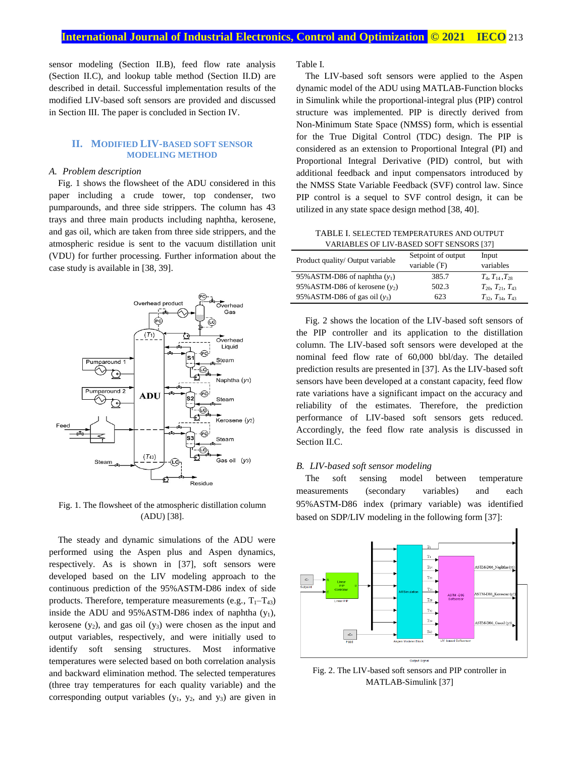sensor modeling (Section II.B), feed flow rate analysis (Section II.C), and lookup table method (Section II.D) are described in detail. Successful implementation results of the modified LIV-based soft sensors are provided and discussed in Section III. The paper is concluded in Section IV.

## **II. MODIFIED LIV-BASED SOFT SENSOR MODELING METHOD**

## *A. Problem description*

Fig. 1 shows the flowsheet of the ADU considered in this paper including a crude tower, top condenser, two pumparounds, and three side strippers. The column has 43 trays and three main products including naphtha, kerosene, and gas oil, which are taken from three side strippers, and the atmospheric residue is sent to the vacuum distillation unit (VDU) for further processing. Further information about the case study is available in [38, 39].



Fig. 1. The flowsheet of the atmospheric distillation column (ADU) [38].

The steady and dynamic simulations of the ADU were performed using the Aspen plus and Aspen dynamics, respectively. As is shown in [37], soft sensors were developed based on the LIV modeling approach to the continuous prediction of the 95%ASTM-D86 index of side products. Therefore, temperature measurements (e.g.,  $T_1 - T_{43}$ ) inside the ADU and  $95\%$ ASTM-D86 index of naphtha (y<sub>1</sub>), kerosene  $(y_2)$ , and gas oil  $(y_3)$  were chosen as the input and output variables, respectively, and were initially used to identify soft sensing structures. Most informative temperatures were selected based on both correlation analysis and backward elimination method. The selected temperatures (three tray temperatures for each quality variable) and the corresponding output variables  $(y_1, y_2,$  and  $y_3)$  are given in Table I.

The LIV-based soft sensors were applied to the Aspen dynamic model of the ADU using MATLAB-Function blocks in Simulink while the proportional-integral plus (PIP) control structure was implemented. PIP is directly derived from Non-Minimum State Space (NMSS) form, which is essential for the True Digital Control (TDC) design. The PIP is considered as an extension to Proportional Integral (PI) and Proportional Integral Derivative (PID) control, but with additional feedback and input compensators introduced by the NMSS State Variable Feedback (SVF) control law. Since PIP control is a sequel to SVF control design, it can be utilized in any state space design method [38, 40].

TABLE I. SELECTED TEMPERATURES AND OUTPUT VARIABLES OF LIV-BASED SOFT SENSORS [37]

| Product quality/ Output variable | Setpoint of output<br>variable $(F)$ | Input<br>variables             |
|----------------------------------|--------------------------------------|--------------------------------|
| 95% ASTM-D86 of naphtha $(v_1)$  | 385.7                                | $T_4, T_{14}, T_{28}$          |
| 95% ASTM-D86 of kerosene $(v_2)$ | 502.3                                | $T_{20}$ , $T_{21}$ , $T_{43}$ |
| 95% ASTM-D86 of gas oil $(y_3)$  | 623                                  | $T_{32}$ , $T_{34}$ , $T_{43}$ |

Fig. 2 shows the location of the LIV-based soft sensors of the PIP controller and its application to the distillation column. The LIV-based soft sensors were developed at the nominal feed flow rate of 60,000 bbl/day. The detailed prediction results are presented in [37]. As the LIV-based soft sensors have been developed at a constant capacity, feed flow rate variations have a significant impact on the accuracy and reliability of the estimates. Therefore, the prediction performance of LIV-based soft sensors gets reduced. Accordingly, the feed flow rate analysis is discussed in Section II.C.

#### *B. LIV-based soft sensor modeling*

The soft sensing model between temperature measurements (secondary variables) and each 95%ASTM-D86 index (primary variable) was identified based on SDP/LIV modeling in the following form [37]:



Fig. 2. The LIV-based soft sensors and PIP controller in MATLAB-Simulink [37]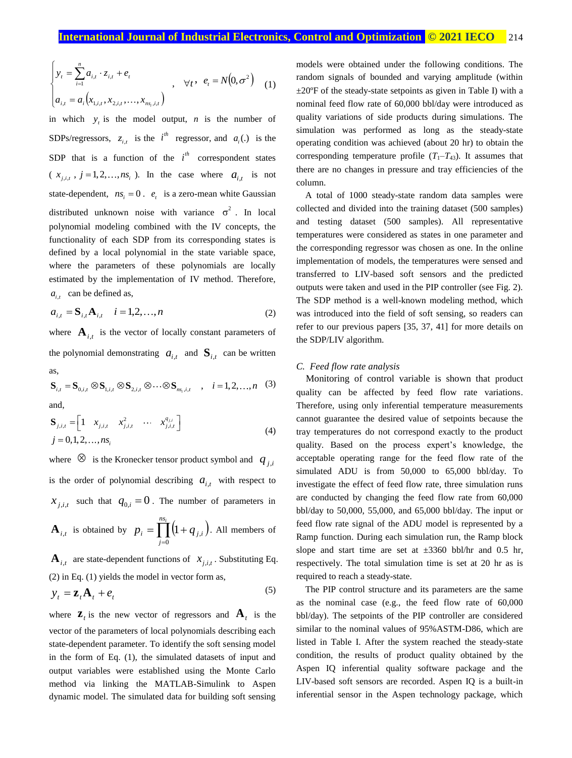$$
\begin{cases}\ny_{t} = \sum_{i=1}^{n} a_{i,t} \cdot z_{i,t} + e_{t} \\
a_{i,t} = a_{i} (x_{1,i,t}, x_{2,i,t}, \dots, x_{ns_{i},i,t})\n\end{cases}, \forall t, e_{t} = N(0, \sigma^{2}) \quad (1)
$$

in which  $y_t$  is the model output, *n* is the number of SDPs/regressors,  $z_{i,t}$  is the  $i^{th}$  regressor, and  $a_i(.)$  is the SDP that is a function of the  $i^{th}$  correspondent states  $(x_{j,i,t}, j = 1,2,...,ns_i)$ . In the case where  $a_{i,t}$  is not state-dependent,  $ns_i = 0$ .  $e_i$  is a zero-mean white Gaussian distributed unknown noise with variance  $\sigma^2$ . In local polynomial modeling combined with the IV concepts, the functionality of each SDP from its corresponding states is defined by a local polynomial in the state variable space, where the parameters of these polynomials are locally estimated by the implementation of IV method. Therefore,  $a_{i,t}$  can be defined as,

$$
a_{i,t} = \mathbf{S}_{i,t} \mathbf{A}_{i,t} \quad i = 1,2,...,n
$$
 (2)

where  $\mathbf{A}_{i,t}$  is the vector of locally constant parameters of the polynomial demonstrating  $a_{i,t}$  and  $S_{i,t}$  can be written as,

$$
\mathbf{S}_{i,t} = \mathbf{S}_{0,i,t} \otimes \mathbf{S}_{1,i,t} \otimes \mathbf{S}_{2,i,t} \otimes \cdots \otimes \mathbf{S}_{ns_i,i,t} \quad , \quad i = 1,2,\ldots,n \quad (3)
$$

and,

$$
\mathbf{S}_{j,i,t} = \begin{bmatrix} 1 & x_{j,i,t} & x_{j,i,t}^2 & \cdots & x_{j,i,t}^q \end{bmatrix}
$$
  
\n $j = 0,1,2,...,ns_i$  (4)

where  $\otimes$  is the Kronecker tensor product symbol and  $q_{j,i}$ is the order of polynomial describing  $a_{i,t}$  with respect to  $x_{j,i,t}$  such that  $q_{0,i} = 0$ . The number of parameters in *ns<sup>i</sup>*

 $\mathbf{A}_{i,t}$  is obtained by  $p_i = \prod_{i=1}^{n} (1 + q_{i,i})$ . *j*  $p_i = \prod_{i} (1 + q_{i,i})$ . All members of

 $\mathbf{A}_{i,t}$  are state-dependent functions of  $x_{j,i,t}$ . Substituting Eq. (2) in Eq. (1) yields the model in vector form as,

$$
y_t = \mathbf{Z}_t \mathbf{A}_t + e_t \tag{5}
$$

where  $\mathbf{Z}_t$  is the new vector of regressors and  $\mathbf{A}_t$  is the vector of the parameters of local polynomials describing each state-dependent parameter. To identify the soft sensing model in the form of Eq. (1), the simulated datasets of input and output variables were established using the Monte Carlo method via linking the MATLAB-Simulink to Aspen dynamic model. The simulated data for building soft sensing

models were obtained under the following conditions. The random signals of bounded and varying amplitude (within  $\pm 20^{\circ}$ F of the steady-state setpoints as given in Table I) with a nominal feed flow rate of 60,000 bbl/day were introduced as quality variations of side products during simulations. The simulation was performed as long as the steady-state operating condition was achieved (about 20 hr) to obtain the corresponding temperature profile  $(T_1-T_{43})$ . It assumes that there are no changes in pressure and tray efficiencies of the column.

A total of 1000 steady-state random data samples were collected and divided into the training dataset (500 samples) and testing dataset (500 samples). All representative temperatures were considered as states in one parameter and the corresponding regressor was chosen as one. In the online implementation of models, the temperatures were sensed and transferred to LIV-based soft sensors and the predicted outputs were taken and used in the PIP controller (see Fig. 2). The SDP method is a well-known modeling method, which was introduced into the field of soft sensing, so readers can refer to our previous papers [35, 37, 41] for more details on the SDP/LIV algorithm.

## *C. Feed flow rate analysis*

Monitoring of control variable is shown that product quality can be affected by feed flow rate variations. Therefore, using only inferential temperature measurements cannot guarantee the desired value of setpoints because the tray temperatures do not correspond exactly to the product quality. Based on the process expert's knowledge, the acceptable operating range for the feed flow rate of the simulated ADU is from 50,000 to 65,000 bbl/day. To investigate the effect of feed flow rate, three simulation runs are conducted by changing the feed flow rate from 60,000 bbl/day to 50,000, 55,000, and 65,000 bbl/day. The input or feed flow rate signal of the ADU model is represented by a Ramp function. During each simulation run, the Ramp block slope and start time are set at  $\pm 3360$  bbl/hr and 0.5 hr, respectively. The total simulation time is set at 20 hr as is required to reach a steady-state.

The PIP control structure and its parameters are the same as the nominal case (e.g., the feed flow rate of 60,000 bbl/day). The setpoints of the PIP controller are considered similar to the nominal values of 95%ASTM-D86, which are listed in Table I. After the system reached the steady-state condition, the results of product quality obtained by the Aspen IQ inferential quality software package and the LIV-based soft sensors are recorded. Aspen IQ is a built-in inferential sensor in the Aspen technology package, which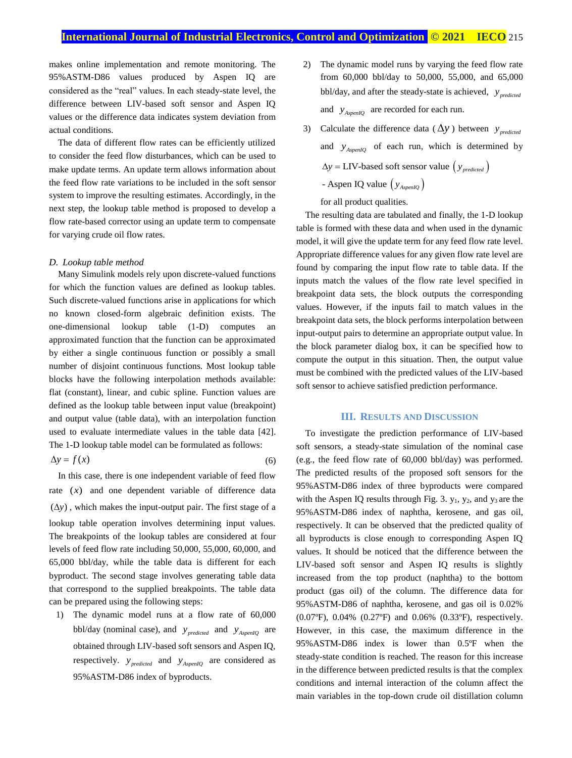(6)

makes online implementation and remote monitoring. The 95%ASTM-D86 values produced by Aspen IQ are considered as the "real" values. In each steady-state level, the difference between LIV-based soft sensor and Aspen IQ values or the difference data indicates system deviation from actual conditions.

The data of different flow rates can be efficiently utilized to consider the feed flow disturbances, which can be used to make update terms. An update term allows information about the feed flow rate variations to be included in the soft sensor system to improve the resulting estimates. Accordingly, in the next step, the lookup table method is proposed to develop a flow rate-based corrector using an update term to compensate for varying crude oil flow rates.

#### *D. Lookup table method*

Many Simulink models rely upon discrete-valued functions for which the function values are defined as lookup tables. Such discrete-valued functions arise in applications for which no known closed-form algebraic definition exists. The one-dimensional lookup table (1-D) computes an approximated function that the function can be approximated by either a single continuous function or possibly a small number of disjoint continuous functions. Most lookup table blocks have the following interpolation methods available: flat (constant), linear, and cubic spline. Function values are defined as the lookup table between input value (breakpoint) and output value (table data), with an interpolation function used to evaluate intermediate values in the table data [42]. The 1-D lookup table model can be formulated as follows:

$$
\Delta y = f(x)
$$

In this case, there is one independent variable of feed flow rate  $(x)$  and one dependent variable of difference data  $(\Delta y)$ , which makes the input-output pair. The first stage of a lookup table operation involves determining input values. The breakpoints of the lookup tables are considered at four levels of feed flow rate including 50,000, 55,000, 60,000, and 65,000 bbl/day, while the table data is different for each byproduct. The second stage involves generating table data that correspond to the supplied breakpoints. The table data can be prepared using the following steps:

1) The dynamic model runs at a flow rate of 60,000  $bbl/day$  (nominal case), and  $y_{predicted}$  and  $y_{Aspend}$  are obtained through LIV-based soft sensors and Aspen IQ, respectively.  $y_{predicted}$  and  $y_{Aspendo}$  are considered as 95%ASTM-D86 index of byproducts.

- 2) The dynamic model runs by varying the feed flow rate from 60,000 bbl/day to 50,000, 55,000, and 65,000 bbl/day, and after the steady-state is achieved,  $y_{predicted}$ and  $y_{AspendQ}$  are recorded for each run.
- 3) Calculate the difference data ( $\Delta y$ ) between  $y_{predicted}$ and  $y_{AspendQ}$  of each run, which is determined by  $\Delta y$  = LIV-based soft sensor value  $\left(y_{predicted}\right)$ - Aspen IQ value  $(y_{AspendQ})$

for all product qualities.

The resulting data are tabulated and finally, the 1-D lookup table is formed with these data and when used in the dynamic model, it will give the update term for any feed flow rate level. Appropriate difference values for any given flow rate level are found by comparing the input flow rate to table data. If the inputs match the values of the flow rate level specified in breakpoint data sets, the block outputs the corresponding values. However, if the inputs fail to match values in the breakpoint data sets, the block performs interpolation between input-output pairs to determine an appropriate output value. In the block parameter dialog box, it can be specified how to compute the output in this situation. Then, the output value must be combined with the predicted values of the LIV-based soft sensor to achieve satisfied prediction performance.

## **III. RESULTS AND DISCUSSION**

To investigate the prediction performance of LIV-based soft sensors, a steady-state simulation of the nominal case (e.g., the feed flow rate of 60,000 bbl/day) was performed. The predicted results of the proposed soft sensors for the 95%ASTM-D86 index of three byproducts were compared with the Aspen IQ results through Fig. 3.  $y_1$ ,  $y_2$ , and  $y_3$  are the 95%ASTM-D86 index of naphtha, kerosene, and gas oil, respectively. It can be observed that the predicted quality of all byproducts is close enough to corresponding Aspen IQ values. It should be noticed that the difference between the LIV-based soft sensor and Aspen IQ results is slightly increased from the top product (naphtha) to the bottom product (gas oil) of the column. The difference data for 95%ASTM-D86 of naphtha, kerosene, and gas oil is 0.02% (0.07ºF), 0.04% (0.27ºF) and 0.06% (0.33ºF), respectively. However, in this case, the maximum difference in the 95%ASTM-D86 index is lower than 0.5ºF when the steady-state condition is reached. The reason for this increase in the difference between predicted results is that the complex conditions and internal interaction of the column affect the main variables in the top-down crude oil distillation column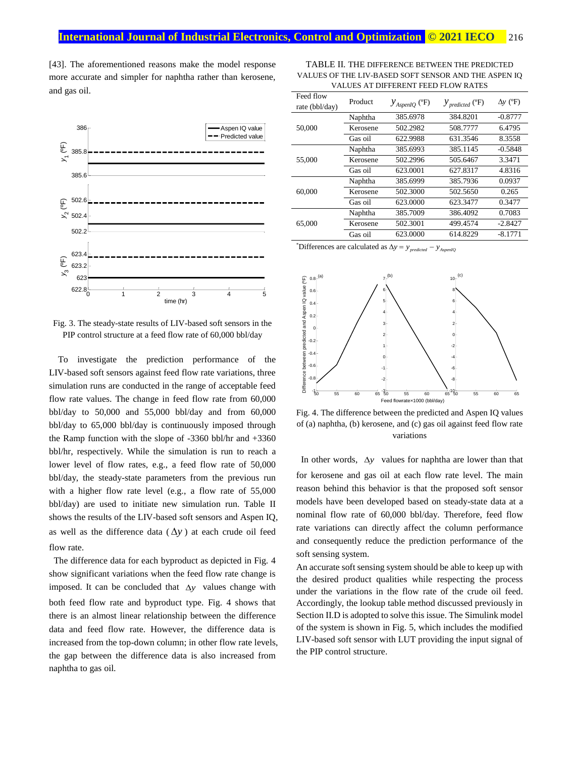[43]. The aforementioned reasons make the model response more accurate and simpler for naphtha rather than kerosene, and gas oil.



Fig. 3. The steady-state results of LIV-based soft sensors in the PIP control structure at a feed flow rate of 60,000 bbl/day

To investigate the prediction performance of the LIV-based soft sensors against feed flow rate variations, three simulation runs are conducted in the range of acceptable feed flow rate values. The change in feed flow rate from 60,000 bbl/day to 50,000 and 55,000 bbl/day and from 60,000 bbl/day to 65,000 bbl/day is continuously imposed through the Ramp function with the slope of -3360 bbl/hr and +3360 bbl/hr, respectively. While the simulation is run to reach a lower level of flow rates, e.g., a feed flow rate of 50,000 bbl/day, the steady-state parameters from the previous run with a higher flow rate level (e.g., a flow rate of 55,000 bbl/day) are used to initiate new simulation run. Table II shows the results of the LIV-based soft sensors and Aspen IQ, as well as the difference data  $(\Delta y)$  at each crude oil feed flow rate.

The difference data for each byproduct as depicted in Fig. 4 show significant variations when the feed flow rate change is imposed. It can be concluded that  $\Delta y$  values change with both feed flow rate and byproduct type. Fig. 4 shows that there is an almost linear relationship between the difference data and feed flow rate. However, the difference data is increased from the top-down column; in other flow rate levels, the gap between the difference data is also increased from naphtha to gas oil.

TABLE II. THE DIFFERENCE BETWEEN THE PREDICTED VALUES OF THE LIV-BASED SOFT SENSOR AND THE ASPEN IQ VALUES AT DIFFERENT FEED FLOW RATES

| Feed flow<br>rate (bbl/day) | Product  | $y_{AspendQ}$ (°F) | $y_{predicted}$ ( $\rm F$ ) | $\Delta y$ (°F) |
|-----------------------------|----------|--------------------|-----------------------------|-----------------|
| 50,000                      | Naphtha  | 385.6978           | 384.8201                    | $-0.8777$       |
|                             | Kerosene | 502.2982           | 508.7777                    | 6.4795          |
|                             | Gas oil  | 622.9988           | 631.3546                    | 8.3558          |
| 55,000                      | Naphtha  | 385.6993           | 385.1145                    | $-0.5848$       |
|                             | Kerosene | 502.2996           | 505.6467                    | 3.3471          |
|                             | Gas oil  | 623,0001           | 627.8317                    | 4.8316          |
| 60,000                      | Naphtha  | 385.6999           | 385.7936                    | 0.0937          |
|                             | Kerosene | 502.3000           | 502.5650                    | 0.265           |
|                             | Gas oil  | 623,0000           | 623.3477                    | 0.3477          |
| 65,000                      | Naphtha  | 385.7009           | 386.4092                    | 0.7083          |
|                             | Kerosene | 502.3001           | 499.4574                    | $-2.8427$       |
|                             | Gas oil  | 623.0000           | 614.8229                    | $-8.1771$       |

\*Differences are calculated as  $\Delta y = y_{predicted} - y_{Aspend}$ 



Fig. 4. The difference between the predicted and Aspen IQ values of (a) naphtha, (b) kerosene, and (c) gas oil against feed flow rate variations

In other words,  $\Delta y$  values for naphtha are lower than that for kerosene and gas oil at each flow rate level. The main reason behind this behavior is that the proposed soft sensor models have been developed based on steady-state data at a nominal flow rate of 60,000 bbl/day. Therefore, feed flow rate variations can directly affect the column performance and consequently reduce the prediction performance of the soft sensing system.

An accurate soft sensing system should be able to keep up with the desired product qualities while respecting the process under the variations in the flow rate of the crude oil feed. Accordingly, the lookup table method discussed previously in Section II.D is adopted to solve this issue. The Simulink model of the system is shown in Fig. 5, which includes the modified LIV-based soft sensor with LUT providing the input signal of the PIP control structure.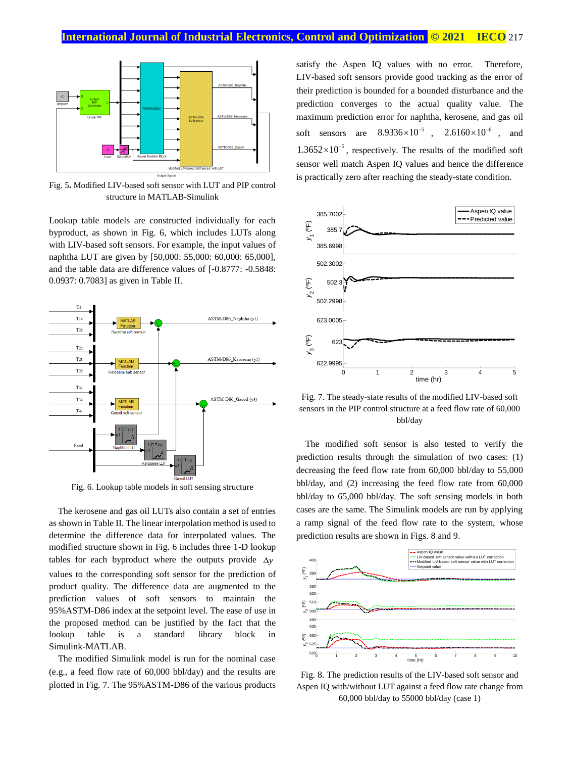

Fig. 5**.** Modified LIV-based soft sensor with LUT and PIP control structure in MATLAB-Simulink

Lookup table models are constructed individually for each byproduct, as shown in Fig. 6, which includes LUTs along with LIV-based soft sensors. For example, the input values of naphtha LUT are given by [50,000: 55,000: 60,000: 65,000], and the table data are difference values of [-0.8777: -0.5848: 0.0937: 0.7083] as given in Table II.



Fig. 6. Lookup table models in soft sensing structure

The kerosene and gas oil LUTs also contain a set of entries as shown in Table II. The linear interpolation method is used to determine the difference data for interpolated values. The modified structure shown in Fig. 6 includes three 1-D lookup tables for each byproduct where the outputs provide  $\Delta y$ values to the corresponding soft sensor for the prediction of product quality. The difference data are augmented to the prediction values of soft sensors to maintain the 95%ASTM-D86 index at the setpoint level. The ease of use in the proposed method can be justified by the fact that the lookup table is a standard library block in Simulink-MATLAB.

The modified Simulink model is run for the nominal case (e.g., a feed flow rate of 60,000 bbl/day) and the results are plotted in Fig. 7. The 95%ASTM-D86 of the various products satisfy the Aspen IQ values with no error. Therefore, LIV-based soft sensors provide good tracking as the error of their prediction is bounded for a bounded disturbance and the prediction converges to the actual quality value. The maximum prediction error for naphtha, kerosene, and gas oil soft sensors are  $8.9336 \times 10^{-5}$ ,  $2.6160 \times 10^{-6}$ , and  $1.3652 \times 10^{-5}$ , respectively. The results of the modified soft sensor well match Aspen IQ values and hence the difference is practically zero after reaching the steady-state condition.



Fig. 7. The steady-state results of the modified LIV-based soft sensors in the PIP control structure at a feed flow rate of 60,000 bbl/day

The modified soft sensor is also tested to verify the prediction results through the simulation of two cases: (1) decreasing the feed flow rate from 60,000 bbl/day to 55,000 bbl/day, and (2) increasing the feed flow rate from 60,000 bbl/day to 65,000 bbl/day. The soft sensing models in both cases are the same. The Simulink models are run by applying a ramp signal of the feed flow rate to the system, whose prediction results are shown in Figs. 8 and 9.



Fig. 8. The prediction results of the LIV-based soft sensor and Aspen IQ with/without LUT against a feed flow rate change from 60,000 bbl/day to 55000 bbl/day (case 1)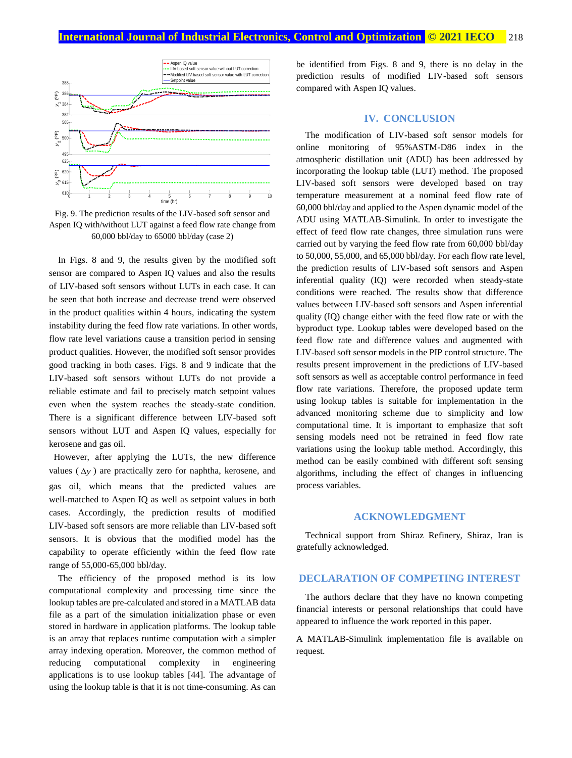

Fig. 9. The prediction results of the LIV-based soft sensor and Aspen IQ with/without LUT against a feed flow rate change from 60,000 bbl/day to 65000 bbl/day (case 2)

In Figs. 8 and 9, the results given by the modified soft sensor are compared to Aspen IQ values and also the results of LIV-based soft sensors without LUTs in each case. It can be seen that both increase and decrease trend were observed in the product qualities within 4 hours, indicating the system instability during the feed flow rate variations. In other words, flow rate level variations cause a transition period in sensing product qualities. However, the modified soft sensor provides good tracking in both cases. Figs. 8 and 9 indicate that the LIV-based soft sensors without LUTs do not provide a reliable estimate and fail to precisely match setpoint values even when the system reaches the steady-state condition. There is a significant difference between LIV-based soft sensors without LUT and Aspen IQ values, especially for kerosene and gas oil.

However, after applying the LUTs, the new difference values  $(\Delta y)$  are practically zero for naphtha, kerosene, and gas oil, which means that the predicted values are well-matched to Aspen IQ as well as setpoint values in both cases. Accordingly, the prediction results of modified LIV-based soft sensors are more reliable than LIV-based soft sensors. It is obvious that the modified model has the capability to operate efficiently within the feed flow rate range of 55,000-65,000 bbl/day.

The efficiency of the proposed method is its low computational complexity and processing time since the lookup tables are pre-calculated and stored in a MATLAB data file as a part of the simulation initialization phase or even stored in hardware in application platforms. The lookup table is an array that replaces runtime computation with a simpler array indexing operation. Moreover, the common method of reducing computational complexity in engineering applications is to use lookup tables [44]. The advantage of using the lookup table is that it is not time-consuming. As can be identified from Figs. 8 and 9, there is no delay in the prediction results of modified LIV-based soft sensors compared with Aspen IQ values.

## **IV. CONCLUSION**

The modification of LIV-based soft sensor models for online monitoring of 95%ASTM-D86 index in the atmospheric distillation unit (ADU) has been addressed by incorporating the lookup table (LUT) method. The proposed LIV-based soft sensors were developed based on tray temperature measurement at a nominal feed flow rate of 60,000 bbl/day and applied to the Aspen dynamic model of the ADU using MATLAB-Simulink. In order to investigate the effect of feed flow rate changes, three simulation runs were carried out by varying the feed flow rate from 60,000 bbl/day to 50,000, 55,000, and 65,000 bbl/day. For each flow rate level, the prediction results of LIV-based soft sensors and Aspen inferential quality (IQ) were recorded when steady-state conditions were reached. The results show that difference values between LIV-based soft sensors and Aspen inferential quality (IQ) change either with the feed flow rate or with the byproduct type. Lookup tables were developed based on the feed flow rate and difference values and augmented with LIV-based soft sensor models in the PIP control structure. The results present improvement in the predictions of LIV-based soft sensors as well as acceptable control performance in feed flow rate variations. Therefore, the proposed update term using lookup tables is suitable for implementation in the advanced monitoring scheme due to simplicity and low computational time. It is important to emphasize that soft sensing models need not be retrained in feed flow rate variations using the lookup table method. Accordingly, this method can be easily combined with different soft sensing algorithms, including the effect of changes in influencing process variables.

## **ACKNOWLEDGMENT**

Technical support from Shiraz Refinery, Shiraz, Iran is gratefully acknowledged.

# **DECLARATION OF COMPETING INTEREST**

The authors declare that they have no known competing financial interests or personal relationships that could have appeared to influence the work reported in this paper.

A MATLAB-Simulink implementation file is available on request.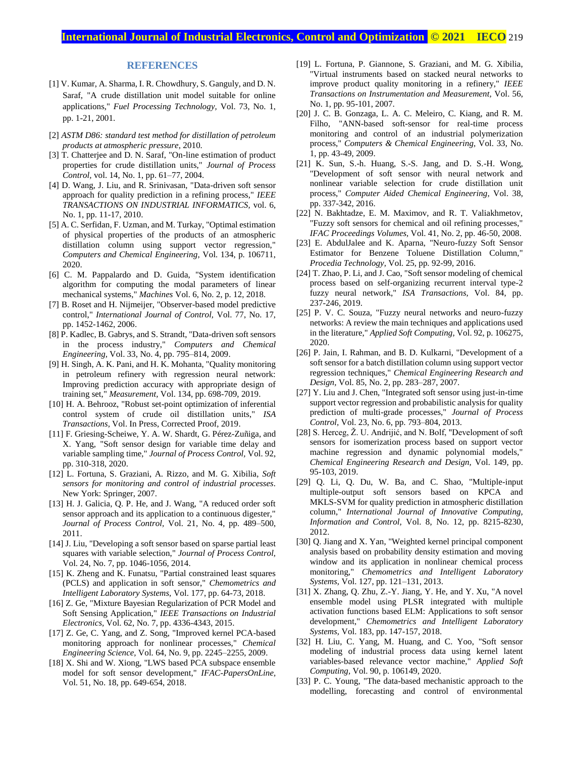# **International Journal of Industrial Electronics, Control and Optimization .© 2021 IECO** 219

#### **REFERENCES**

- [1] V. Kumar, A. Sharma, I. R. Chowdhury, S. Ganguly, and D. N. Saraf, "A crude distillation unit model suitable for online applications," *Fuel Processing Technology,* Vol. 73, No. 1, pp. 1-21, 2001.
- [2] *ASTM D86: standard test method for distillation of petroleum products at atmospheric pressure*, 2010.
- [3] T. Chatterjee and D. N. Saraf, "On-line estimation of product properties for crude distillation units," *Journal of Process Control,* vol. 14, No. 1, pp. 61–77, 2004.
- [4] D. Wang, J. Liu, and R. Srinivasan, "Data-driven soft sensor approach for quality prediction in a refining process," *IEEE TRANSACTIONS ON INDUSTRIAL INFORMATICS,* vol. 6, No. 1, pp. 11-17, 2010.
- [5] A. C. Serfidan, F. Uzman, and M. Turkay, "Optimal estimation of physical properties of the products of an atmospheric distillation column using support vector regression," *Computers and Chemical Engineering,* Vol. 134, p. 106711, 2020.
- [6] C. M. Pappalardo and D. Guida, "System identification algorithm for computing the modal parameters of linear mechanical systems," *Machines* Vol. 6, No. 2, p. 12, 2018.
- [7] B. Roset and H. Nijmeijer, "Observer-based model predictive control," *International Journal of Control,* Vol. 77, No. 17, pp. 1452-1462, 2006.
- [8] P. Kadlec, B. Gabrys, and S. Strandt, "Data-driven soft sensors in the process industry," *Computers and Chemical Engineering,* Vol. 33, No. 4, pp. 795–814, 2009.
- [9] H. Singh, A. K. Pani, and H. K. Mohanta, "Quality monitoring in petroleum refinery with regression neural network: Improving prediction accuracy with appropriate design of training set," *Measurement,* Vol. 134, pp. 698-709, 2019.
- [10] H. A. Behrooz, "Robust set-point optimization of inferential control system of crude oil distillation units," *ISA Transactions,* Vol. In Press, Corrected Proof, 2019.
- [11] F. Griesing-Scheiwe, Y. A. W. Shardt, G. Pérez-Zuñiga, and X. Yang, "Soft sensor design for variable time delay and variable sampling time," *Journal of Process Control,* Vol. 92, pp. 310-318, 2020.
- [12] L. Fortuna, S. Graziani, A. Rizzo, and M. G. Xibilia, *Soft sensors for monitoring and control of industrial processes*. New York: Springer, 2007.
- [13] H. J. Galicia, Q. P. He, and J. Wang, "A reduced order soft sensor approach and its application to a continuous digester," *Journal of Process Control,* Vol. 21, No. 4, pp. 489–500, 2011.
- [14] J. Liu, "Developing a soft sensor based on sparse partial least squares with variable selection," *Journal of Process Control,*  Vol. 24, No. 7, pp. 1046-1056, 2014.
- [15] K. Zheng and K. Funatsu, "Partial constrained least squares (PCLS) and application in soft sensor," *Chemometrics and Intelligent Laboratory Systems,* Vol. 177, pp. 64-73, 2018.
- [16] Z. Ge, "Mixture Bayesian Regularization of PCR Model and Soft Sensing Application," *IEEE Transactions on Industrial Electronics,* Vol. 62, No. 7, pp. 4336-4343, 2015.
- [17] Z. Ge, C. Yang, and Z. Song, "Improved kernel PCA-based monitoring approach for nonlinear processes," *Chemical Engineering Science,* Vol. 64, No. 9, pp. 2245–2255, 2009.
- [18] X. Shi and W. Xiong, "LWS based PCA subspace ensemble model for soft sensor development," *IFAC-PapersOnLine,*  Vol. 51, No. 18, pp. 649-654, 2018.
- [19] L. Fortuna, P. Giannone, S. Graziani, and M. G. Xibilia, "Virtual instruments based on stacked neural networks to improve product quality monitoring in a refinery," *IEEE Transactions on Instrumentation and Measurement,* Vol. 56, No. 1, pp. 95-101, 2007.
- [20] J. C. B. Gonzaga, L. A. C. Meleiro, C. Kiang, and R. M. Filho, "ANN-based soft-sensor for real-time process monitoring and control of an industrial polymerization process," *Computers & Chemical Engineering,* Vol. 33, No. 1, pp. 43-49, 2009.
- [21] K. Sun, S.-h. Huang, S.-S. Jang, and D. S.-H. Wong, "Development of soft sensor with neural network and nonlinear variable selection for crude distillation unit process," *Computer Aided Chemical Engineering,* Vol. 38, pp. 337-342, 2016.
- [22] N. Bakhtadze, E. M. Maximov, and R. T. Valiakhmetov, "Fuzzy soft sensors for chemical and oil refining processes," *IFAC Proceedings Volumes,* Vol. 41, No. 2, pp. 46-50, 2008.
- [23] E. AbdulJalee and K. Aparna, "Neuro-fuzzy Soft Sensor Estimator for Benzene Toluene Distillation Column," *Procedia Technology,* Vol. 25, pp. 92-99, 2016.
- [24] T. Zhao, P. Li, and J. Cao, "Soft sensor modeling of chemical process based on self-organizing recurrent interval type-2 fuzzy neural network," *ISA Transactions,* Vol. 84, pp. 237-246, 2019.
- [25] P. V. C. Souza, "Fuzzy neural networks and neuro-fuzzy networks: A review the main techniques and applications used in the literature," *Applied Soft Computing,* Vol. 92, p. 106275, 2020.
- [26] P. Jain, I. Rahman, and B. D. Kulkarni, "Development of a soft sensor for a batch distillation column using support vector regression techniques," *Chemical Engineering Research and Design,* Vol. 85, No. 2, pp. 283–287, 2007.
- [27] Y. Liu and J. Chen, "Integrated soft sensor using just-in-time support vector regression and probabilistic analysis for quality prediction of multi-grade processes," *Journal of Process Control,* Vol. 23, No. 6, pp. 793–804, 2013.
- [28] S. Herceg, Ž. U. Andrijić, and N. Bolf, "Development of soft sensors for isomerization process based on support vector machine regression and dynamic polynomial models," *Chemical Engineering Research and Design,* Vol. 149, pp. 95-103, 2019.
- [29] Q. Li, Q. Du, W. Ba, and C. Shao, "Multiple-input multiple-output soft sensors based on KPCA and MKLS-SVM for quality prediction in atmospheric distillation column," *International Journal of Innovative Computing, Information and Control,* Vol. 8, No. 12, pp. 8215-8230, 2012.
- [30] Q. Jiang and X. Yan, "Weighted kernel principal component analysis based on probability density estimation and moving window and its application in nonlinear chemical process monitoring," *Chemometrics and Intelligent Laboratory Systems,* Vol. 127, pp. 121–131, 2013.
- [31] X. Zhang, Q. Zhu, Z.-Y. Jiang, Y. He, and Y. Xu, "A novel ensemble model using PLSR integrated with multiple activation functions based ELM: Applications to soft sensor development," *Chemometrics and Intelligent Laboratory Systems,* Vol. 183, pp. 147-157, 2018.
- [32] H. Liu, C. Yang, M. Huang, and C. Yoo, "Soft sensor modeling of industrial process data using kernel latent variables-based relevance vector machine," *Applied Soft Computing,* Vol. 90, p. 106149, 2020.
- [33] P. C. Young, "The data-based mechanistic approach to the modelling, forecasting and control of environmental